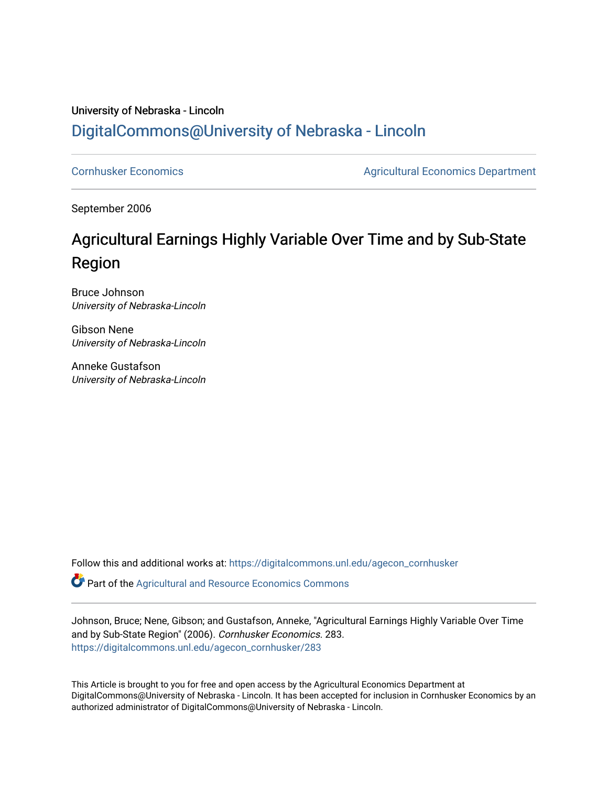### University of Nebraska - Lincoln [DigitalCommons@University of Nebraska - Lincoln](https://digitalcommons.unl.edu/)

[Cornhusker Economics](https://digitalcommons.unl.edu/agecon_cornhusker) **Agricultural Economics** Department

September 2006

## Agricultural Earnings Highly Variable Over Time and by Sub-State Region

Bruce Johnson University of Nebraska-Lincoln

Gibson Nene University of Nebraska-Lincoln

Anneke Gustafson University of Nebraska-Lincoln

Follow this and additional works at: [https://digitalcommons.unl.edu/agecon\\_cornhusker](https://digitalcommons.unl.edu/agecon_cornhusker?utm_source=digitalcommons.unl.edu%2Fagecon_cornhusker%2F283&utm_medium=PDF&utm_campaign=PDFCoverPages) 

Part of the [Agricultural and Resource Economics Commons](http://network.bepress.com/hgg/discipline/317?utm_source=digitalcommons.unl.edu%2Fagecon_cornhusker%2F283&utm_medium=PDF&utm_campaign=PDFCoverPages) 

Johnson, Bruce; Nene, Gibson; and Gustafson, Anneke, "Agricultural Earnings Highly Variable Over Time and by Sub-State Region" (2006). Cornhusker Economics. 283. [https://digitalcommons.unl.edu/agecon\\_cornhusker/283](https://digitalcommons.unl.edu/agecon_cornhusker/283?utm_source=digitalcommons.unl.edu%2Fagecon_cornhusker%2F283&utm_medium=PDF&utm_campaign=PDFCoverPages) 

This Article is brought to you for free and open access by the Agricultural Economics Department at DigitalCommons@University of Nebraska - Lincoln. It has been accepted for inclusion in Cornhusker Economics by an authorized administrator of DigitalCommons@University of Nebraska - Lincoln.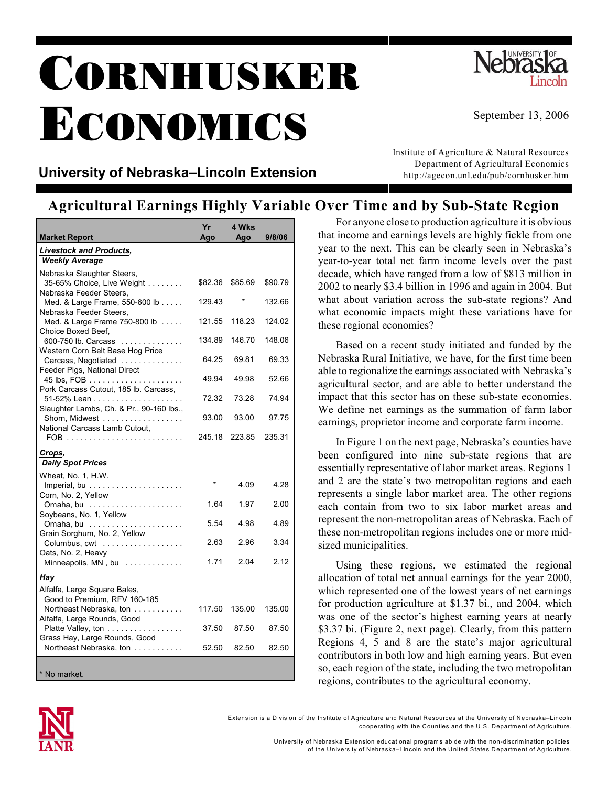# CORNHUSKER ECONOMICS



#### University of Nebraska-Lincoln Extension

Institute of Agriculture & Natural Resources Department of Agricultural Economics http://agecon.unl.edu/pub/cornhusker.htm

#### **Agricultural Earnings Highly Variable Over Time and by Sub-State Region**

| <b>Market Report</b>                                                                     | Yr<br>Ago | 4 Wks<br>Ago | 9/8/06  |
|------------------------------------------------------------------------------------------|-----------|--------------|---------|
| <b>Livestock and Products,</b><br><b>Weekly Average</b>                                  |           |              |         |
| Nebraska Slaughter Steers,<br>35-65% Choice, Live Weight                                 | \$82.36   | \$85.69      | \$90.79 |
| Nebraska Feeder Steers,<br>Med. & Large Frame, 550-600 lb<br>Nebraska Feeder Steers,     | 129.43    |              | 132.66  |
| Med. & Large Frame 750-800 lb<br>Choice Boxed Beef.                                      | 121.55    | 118.23       | 124.02  |
| 600-750 lb. Carcass<br>Western Corn Belt Base Hog Price                                  | 134.89    | 146.70       | 148.06  |
| Carcass, Negotiated<br>Feeder Pigs, National Direct                                      | 64.25     | 69.81        | 69.33   |
| Pork Carcass Cutout, 185 lb. Carcass,                                                    | 49.94     | 49.98        | 52.66   |
| Slaughter Lambs, Ch. & Pr., 90-160 lbs.,                                                 | 72.32     | 73.28        | 74.94   |
| Shorn, Midwest<br>National Carcass Lamb Cutout,                                          | 93.00     | 93.00        | 97.75   |
|                                                                                          | 245.18    | 223.85       | 235.31  |
| Crops,<br><b>Daily Spot Prices</b>                                                       |           |              |         |
| Wheat, No. 1, H.W.                                                                       | $\star$   | 4.09         | 4.28    |
| Corn, No. 2, Yellow                                                                      | 1.64      | 1.97         | 2.00    |
| Soybeans, No. 1, Yellow                                                                  | 5.54      | 4.98         | 4.89    |
| Grain Sorghum, No. 2, Yellow<br>Columbus, cwt                                            | 2.63      | 2.96         | 3.34    |
| Oats, No. 2, Heavy<br>Minneapolis, MN, bu $\ldots \ldots \ldots$                         | 1.71      | 2.04         | 2.12    |
| Hay                                                                                      |           |              |         |
| Alfalfa, Large Square Bales,<br>Good to Premium, RFV 160-185                             |           |              |         |
| Northeast Nebraska, ton<br>Alfalfa, Large Rounds, Good                                   | 117.50    | 135.00       | 135.00  |
| Platte Valley, ton $\ldots \ldots \ldots \ldots \ldots$<br>Grass Hay, Large Rounds, Good | 37.50     | 87.50        | 87.50   |
| Northeast Nebraska, ton                                                                  | 52.50     | 82.50        | 82.50   |
| * No market.                                                                             |           |              |         |

For anyone close to production agriculture it is obvious that income and earnings levels are highly fickle from one year to the next. This can be clearly seen in Nebraska's year-to-year total net farm income levels over the past decade, which have ranged from a low of \$813 million in 2002 to nearly \$3.4 billion in 1996 and again in 2004. But what about variation across the sub-state regions? And what economic impacts might these variations have for these regional economies?

Based on a recent study initiated and funded by the Nebraska Rural Initiative, we have, for the first time been able to regionalize the earnings associated with Nebraska's agricultural sector, and are able to better understand the impact that this sector has on these sub-state economies. We define net earnings as the summation of farm labor earnings, proprietor income and corporate farm income.

In Figure 1 on the next page, Nebraska's counties have been configured into nine sub-state regions that are essentially representative of labor market areas. Regions 1 and 2 are the state's two metropolitan regions and each represents a single labor market area. The other regions each contain from two to six labor market areas and represent the non-metropolitan areas of Nebraska. Each of these non-metropolitan regions includes one or more midsized municipalities.

Using these regions, we estimated the regional allocation of total net annual earnings for the year 2000, which represented one of the lowest years of net earnings for production agriculture at \$1.37 bi., and 2004, which was one of the sector's highest earning years at nearly \$3.37 bi. (Figure 2, next page). Clearly, from this pattern Regions 4, 5 and 8 are the state's major agricultural contributors in both low and high earning years. But even so, each region of the state, including the two metropolitan regions, contributes to the agricultural economy.



Extension is a Division of the Institute of Agriculture and Natural Resources at the University of Nebraska-Lincoln cooperating with the Counties and the U.S. Department of Agriculture.

> University of Nebraska Extension educational programs abide with the non-discrimination policies of the University of Nebraska-Lincoln and the United States Department of Agriculture.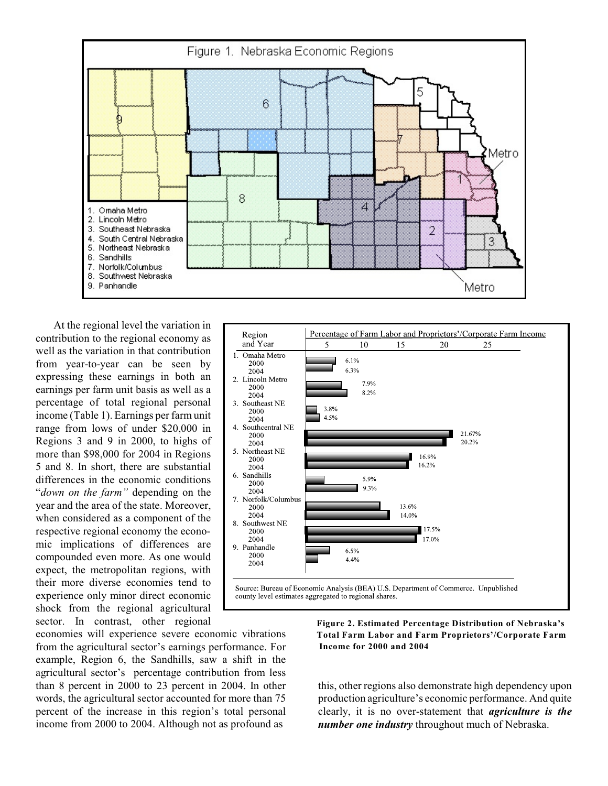

At the regional level the variation in contribution to the regional economy as well as the variation in that contribution from year-to-year can be seen by expressing these earnings in both an earnings per farm unit basis as well as a percentage of total regional personal income (Table 1). Earnings per farm unit range from lows of under \$20,000 in Regions 3 and 9 in 2000, to highs of more than \$98,000 for 2004 in Regions 5 and 8. In short, there are substantial differences in the economic conditions "*down on the farm"* depending on the year and the area of the state. Moreover, when considered as a component of the respective regional economy the economic implications of differences are compounded even more. As one would expect, the metropolitan regions, with their more diverse economies tend to experience only minor direct economic shock from the regional agricultural sector. In contrast, other regional



economies will experience severe economic vibrations from the agricultural sector's earnings performance. For example, Region 6, the Sandhills, saw a shift in the agricultural sector's percentage contribution from less than 8 percent in 2000 to 23 percent in 2004. In other words, the agricultural sector accounted for more than 75 percent of the increase in this region's total personal income from 2000 to 2004. Although not as profound as

 **Figure 2. Estimated Percentage Distribution of Nebraska's Total Farm Labor and Farm Proprietors'/Corporate Farm Income for 2000 and 2004**

this, other regions also demonstrate high dependency upon production agriculture's economic performance. And quite clearly, it is no over-statement that *agriculture is the number one industry* throughout much of Nebraska.